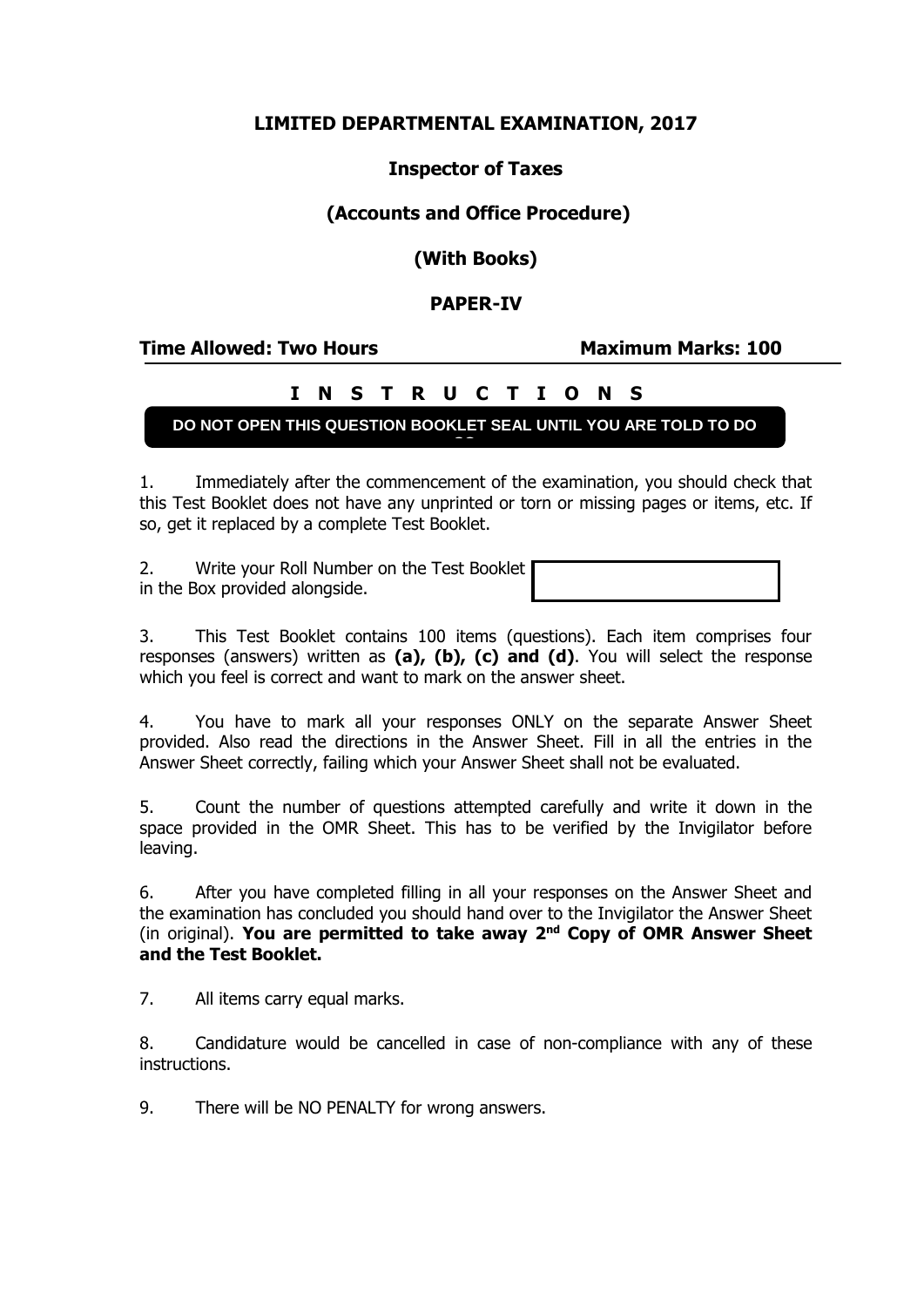# **LIMITED DEPARTMENTAL EXAMINATION, 2017**

## **Inspector of Taxes**

# **(Accounts and Office Procedure)**

**(With Books)**

## **PAPER-IV**

#### **Time Allowed: Two Hours Maximum Marks: 100**

# **I N S T R U C T I O N S**

#### **DO NOT OPEN THIS QUESTION BOOKLET SEAL UNTIL YOU ARE TOLD TO DO SO**

1. Immediately after the commencement of the examination, you should check that this Test Booklet does not have any unprinted or torn or missing pages or items, etc. If so, get it replaced by a complete Test Booklet.

2. Write your Roll Number on the Test Booklet in the Box provided alongside.

3. This Test Booklet contains 100 items (questions). Each item comprises four responses (answers) written as **(a), (b), (c) and (d)**. You will select the response which you feel is correct and want to mark on the answer sheet.

4. You have to mark all your responses ONLY on the separate Answer Sheet provided. Also read the directions in the Answer Sheet. Fill in all the entries in the Answer Sheet correctly, failing which your Answer Sheet shall not be evaluated.

5. Count the number of questions attempted carefully and write it down in the space provided in the OMR Sheet. This has to be verified by the Invigilator before leaving.

6. After you have completed filling in all your responses on the Answer Sheet and the examination has concluded you should hand over to the Invigilator the Answer Sheet (in original). **You are permitted to take away 2nd Copy of OMR Answer Sheet and the Test Booklet.**

7. All items carry equal marks.

8. Candidature would be cancelled in case of non-compliance with any of these instructions.

9. There will be NO PENALTY for wrong answers.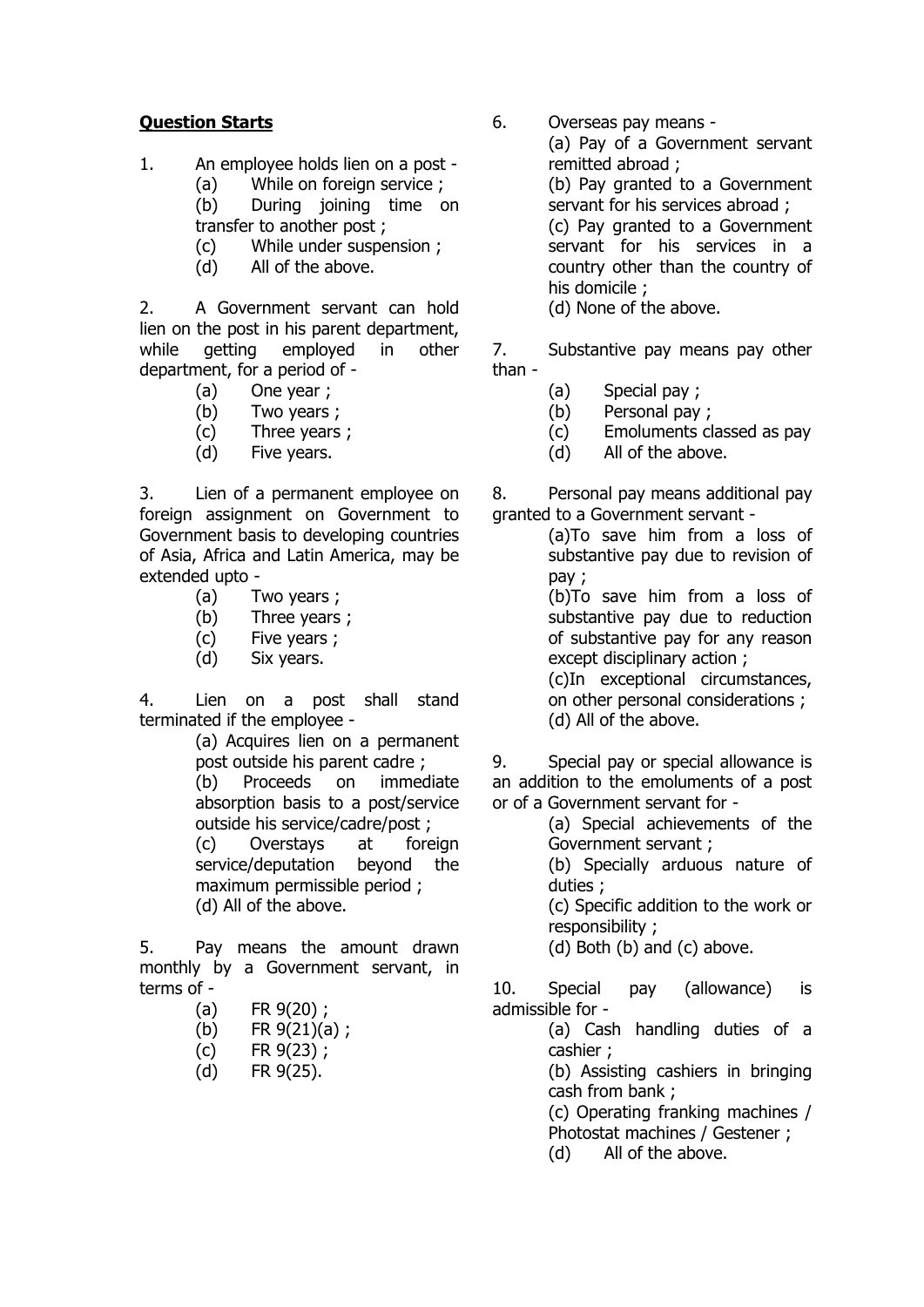## **Question Starts**

- 1. An employee holds lien on a post
	- (a) While on foreign service ;
	- (b) During joining time on transfer to another post ;
	- (c) While under suspension ;
	- (d) All of the above.

2. A Government servant can hold lien on the post in his parent department, while getting employed in other department, for a period of -

- (a) One year ;
- (b) Two years ;
- (c) Three years ;
- (d) Five years.

3. Lien of a permanent employee on foreign assignment on Government to Government basis to developing countries of Asia, Africa and Latin America, may be extended upto -

- (a) Two years ;
- (b) Three years ;
- (c) Five years ;
- (d) Six years.

4. Lien on a post shall stand terminated if the employee -

> (a) Acquires lien on a permanent post outside his parent cadre ; (b) Proceeds on immediate absorption basis to a post/service outside his service/cadre/post ; (c) Overstays at foreign service/deputation beyond the maximum permissible period ; (d) All of the above.

5. Pay means the amount drawn monthly by a Government servant, in terms of -

- (a) FR 9(20) ;
- (b)  $FR \frac{9(21)}{a}$ ;
- (c) FR 9(23) ;
- (d) FR 9(25).

6. Overseas pay means -

(a) Pay of a Government servant remitted abroad ; (b) Pay granted to a Government servant for his services abroad ; (c) Pay granted to a Government servant for his services in a country other than the country of his domicile ; (d) None of the above.

7. Substantive pay means pay other

- than -
- (a) Special pay ;
- (b) Personal pay ;
- (c) Emoluments classed as pay
- (d) All of the above.

8. Personal pay means additional pay granted to a Government servant -

(a)To save him from a loss of substantive pay due to revision of pay ;

(b)To save him from a loss of substantive pay due to reduction of substantive pay for any reason except disciplinary action ;

(c)In exceptional circumstances, on other personal considerations ; (d) All of the above.

9. Special pay or special allowance is an addition to the emoluments of a post or of a Government servant for -

> (a) Special achievements of the Government servant ;

> (b) Specially arduous nature of duties ;

> (c) Specific addition to the work or responsibility ;

(d) Both (b) and (c) above.

10. Special pay (allowance) is admissible for -

(a) Cash handling duties of a cashier ;

(b) Assisting cashiers in bringing cash from bank ;

(c) Operating franking machines / Photostat machines / Gestener ;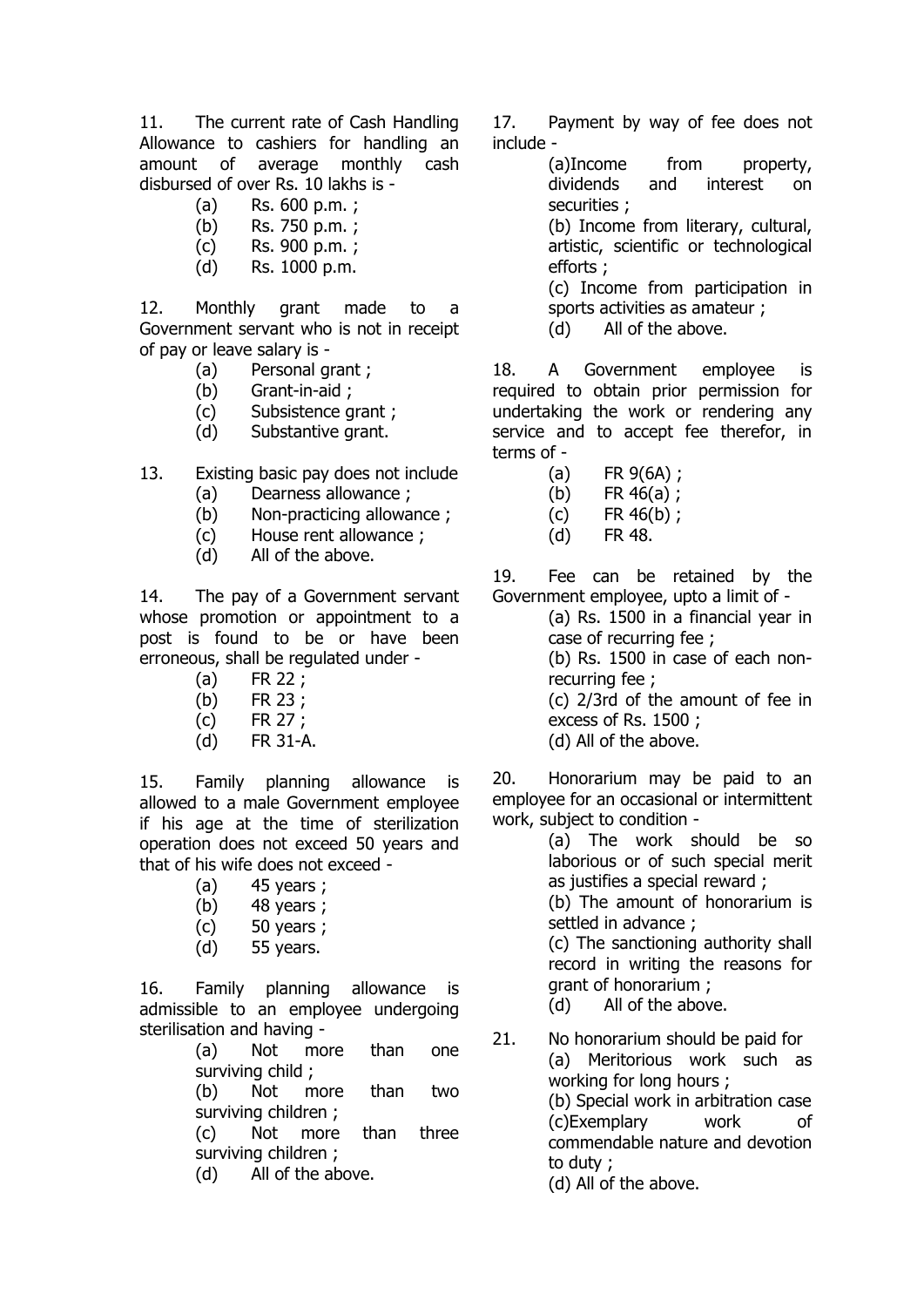11. The current rate of Cash Handling Allowance to cashiers for handling an amount of average monthly cash disbursed of over Rs. 10 lakhs is -

- (a) Rs. 600 p.m. ;
- (b) Rs. 750 p.m. ; (c) Rs. 900 p.m. ;
- (d) Rs. 1000 p.m.

12. Monthly grant made to a Government servant who is not in receipt of pay or leave salary is -

- (a) Personal grant ;
- (b) Grant-in-aid ;
- (c) Subsistence grant ;
- (d) Substantive grant.
- 13. Existing basic pay does not include
	- (a) Dearness allowance ;
	- (b) Non-practicing allowance ;
	- (c) House rent allowance ;
	- (d) All of the above.

14. The pay of a Government servant whose promotion or appointment to a post is found to be or have been erroneous, shall be regulated under -

- (a) FR 22 ;
- (b) FR 23 ;
- (c) FR 27 ;
- (d) FR 31-A.

15. Family planning allowance is allowed to a male Government employee if his age at the time of sterilization operation does not exceed 50 years and that of his wife does not exceed -

- (a) 45 years ;
- (b) 48 years ;
- (c) 50 years ;
- (d) 55 years.

16. Family planning allowance is admissible to an employee undergoing sterilisation and having -

(a) Not more than one surviving child ;

(b) Not more than two surviving children ;

(c) Not more than three surviving children ;

(d) All of the above.

17. Payment by way of fee does not include -

> (a)Income from property, dividends and interest on securities ;

> (b) Income from literary, cultural, artistic, scientific or technological efforts ;

> (c) Income from participation in sports activities as amateur ;

(d) All of the above.

18. A Government employee is required to obtain prior permission for undertaking the work or rendering any service and to accept fee therefor, in terms of -

- (a) FR 9(6A) ;
- (b) FR  $46(a)$ ;
- (c) FR 46(b) ;
- (d) FR 48.

19. Fee can be retained by the Government employee, upto a limit of -

(a) Rs. 1500 in a financial year in case of recurring fee ;

(b) Rs. 1500 in case of each nonrecurring fee ;

(c) 2/3rd of the amount of fee in excess of Rs. 1500 ;

(d) All of the above.

20. Honorarium may be paid to an employee for an occasional or intermittent work, subject to condition -

(a) The work should be so laborious or of such special merit as justifies a special reward ;

(b) The amount of honorarium is settled in advance ;

(c) The sanctioning authority shall record in writing the reasons for grant of honorarium ;

(d) All of the above.

21. No honorarium should be paid for (a) Meritorious work such as working for long hours ; (b) Special work in arbitration case (c)Exemplary work of commendable nature and devotion to duty ; (d) All of the above.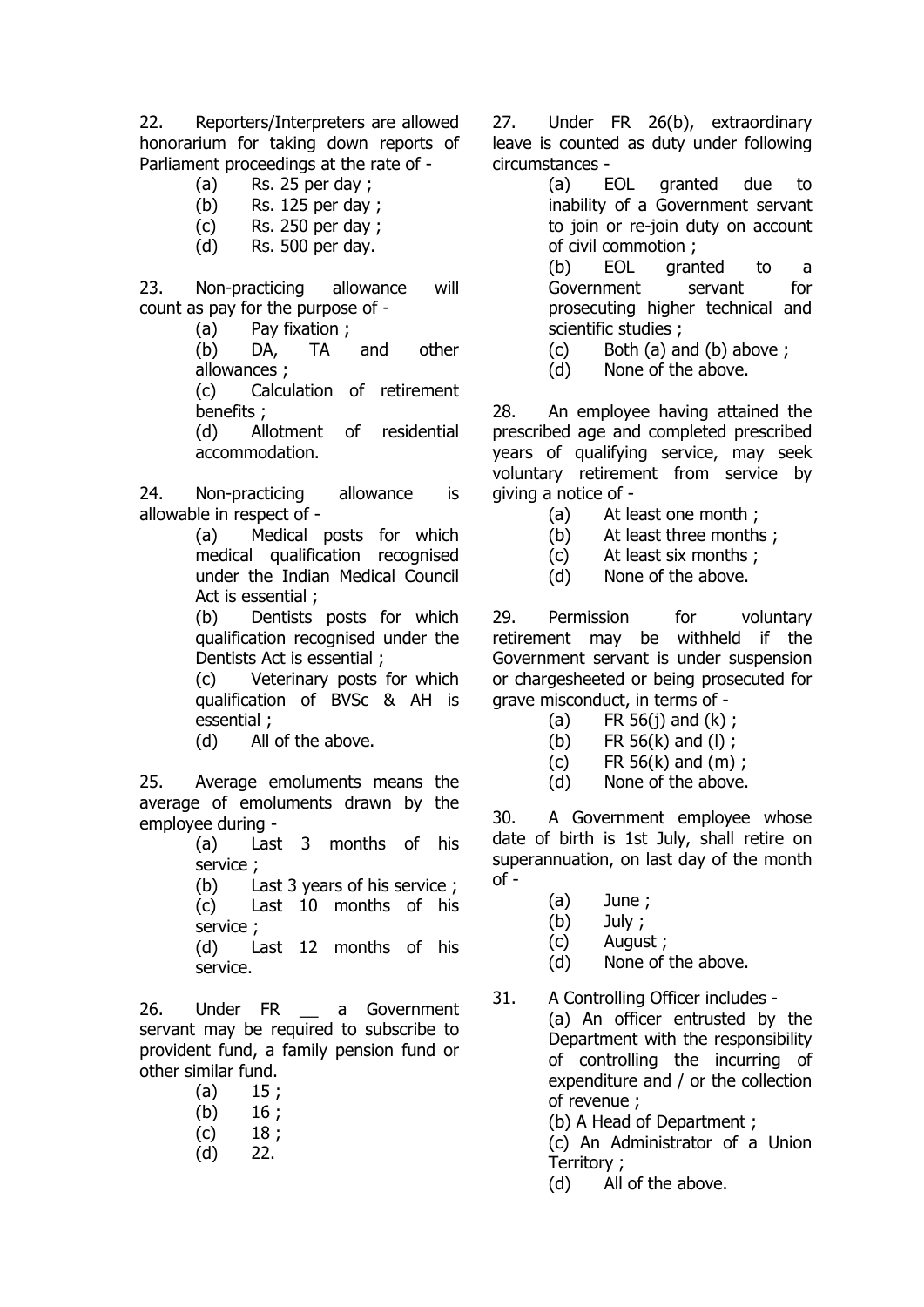22. Reporters/Interpreters are allowed honorarium for taking down reports of Parliament proceedings at the rate of -

- $(a)$  Rs. 25 per day ;
- (b) Rs. 125 per day ;
- (c) Rs. 250 per day ;
- (d) Rs. 500 per day.

23. Non-practicing allowance will count as pay for the purpose of -

(a) Pay fixation ;

(b) DA, TA and other allowances ;

(c) Calculation of retirement benefits ;

(d) Allotment of residential accommodation.

24. Non-practicing allowance is allowable in respect of -

> (a) Medical posts for which medical qualification recognised under the Indian Medical Council Act is essential ;

> (b) Dentists posts for which qualification recognised under the Dentists Act is essential ;

> (c) Veterinary posts for which qualification of BVSc & AH is essential ;

(d) All of the above.

25. Average emoluments means the average of emoluments drawn by the employee during -

(a) Last 3 months of his service ;

(b) Last 3 years of his service ; (c) Last 10 months of his

service ; (d) Last 12 months of his service.

26. Under FR a Government servant may be required to subscribe to provident fund, a family pension fund or other similar fund.

 $(a)$  15;

- $(b)$  16 ;
- $(c)$  18;
- (d) 22.

27. Under FR 26(b), extraordinary leave is counted as duty under following circumstances -

> (a) EOL granted due to inability of a Government servant to join or re-join duty on account of civil commotion ;

> (b) EOL granted to a Government servant for prosecuting higher technical and scientific studies ;

- (c) Both (a) and (b) above ;
- (d) None of the above.

28. An employee having attained the prescribed age and completed prescribed years of qualifying service, may seek voluntary retirement from service by giving a notice of -

- (a) At least one month ;
- (b) At least three months ;
- (c) At least six months ;
- (d) None of the above.

29. Permission for voluntary retirement may be withheld if the Government servant is under suspension or chargesheeted or being prosecuted for grave misconduct, in terms of -

- (a) FR  $56(j)$  and  $(k)$ ;
- (b) FR 56(k) and (l) ;
- (c) FR 56(k) and (m) ;
- (d) None of the above.

30. A Government employee whose date of birth is 1st July, shall retire on superannuation, on last day of the month  $of -$ 

- (a) June ;
- (b) July ;
- (c) August ;
- (d) None of the above.
- 31. A Controlling Officer includes (a) An officer entrusted by the Department with the responsibility of controlling the incurring of expenditure and / or the collection of revenue ;

(b) A Head of Department ;

(c) An Administrator of a Union Territory ;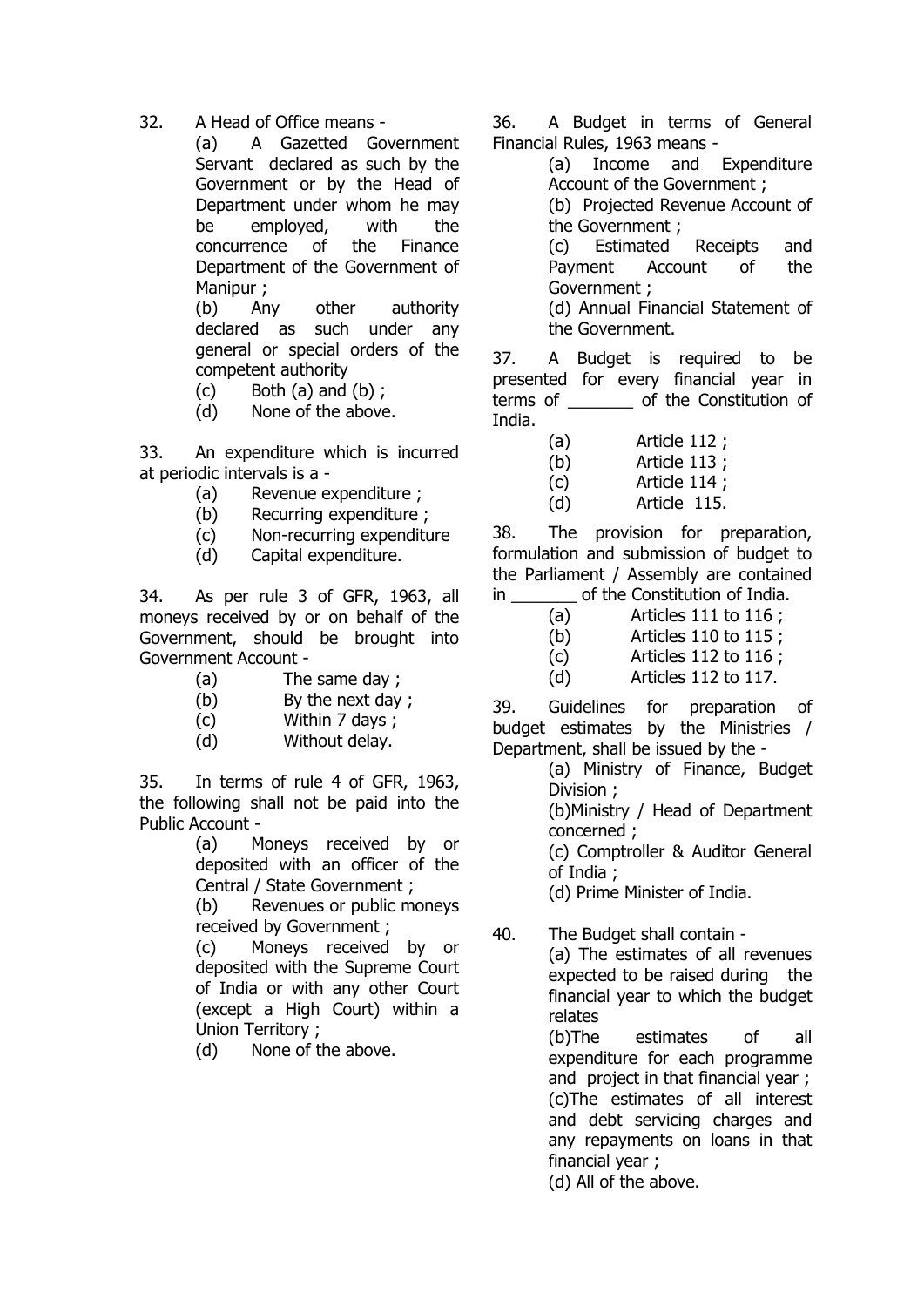32. A Head of Office means -

(a) A Gazetted Government Servant declared as such by the Government or by the Head of Department under whom he may be employed, with the concurrence of the Finance Department of the Government of Manipur ;

(b) Any other authority declared as such under any general or special orders of the competent authority

- $(c)$  Both  $(a)$  and  $(b)$ ;
- (d) None of the above.

33. An expenditure which is incurred at periodic intervals is a -

- (a) Revenue expenditure ;
- (b) Recurring expenditure ;
- (c) Non-recurring expenditure
- (d) Capital expenditure.

34. As per rule 3 of GFR, 1963, all moneys received by or on behalf of the Government, should be brought into Government Account -

- (a) The same day ;
- (b) By the next day ;
- (c) Within 7 days ;
- (d) Without delay.

35. In terms of rule 4 of GFR, 1963, the following shall not be paid into the Public Account -

(a) Moneys received by or deposited with an officer of the Central / State Government ;

(b) Revenues or public moneys received by Government ;

(c) Moneys received by or deposited with the Supreme Court of India or with any other Court (except a High Court) within a Union Territory ;

(d) None of the above.

36. A Budget in terms of General Financial Rules, 1963 means -

> (a) Income and Expenditure Account of the Government ;

(b) Projected Revenue Account of the Government ;

(c) Estimated Receipts and Payment Account of the Government ;

(d) Annual Financial Statement of the Government.

37. A Budget is required to be presented for every financial year in terms of \_\_\_\_\_\_\_ of the Constitution of India.

(a) Article 112 ;

(b) Article 113 ;

(c) Article 114 ;

(d) Article 115.

38. The provision for preparation, formulation and submission of budget to the Parliament / Assembly are contained in of the Constitution of India.

- (a) Articles 111 to 116 ;
- (b) Articles 110 to 115 ;
- (c) Articles 112 to 116 ;
- (d) Articles 112 to 117.

39. Guidelines for preparation of budget estimates by the Ministries / Department, shall be issued by the -

(a) Ministry of Finance, Budget Division ;

(b)Ministry / Head of Department concerned ;

(c) Comptroller & Auditor General of India ;

(d) Prime Minister of India.

40. The Budget shall contain - (a) The estimates of all revenues expected to be raised during the financial year to which the budget relates (b)The estimates of all

expenditure for each programme and project in that financial year ; (c)The estimates of all interest and debt servicing charges and any repayments on loans in that financial year ;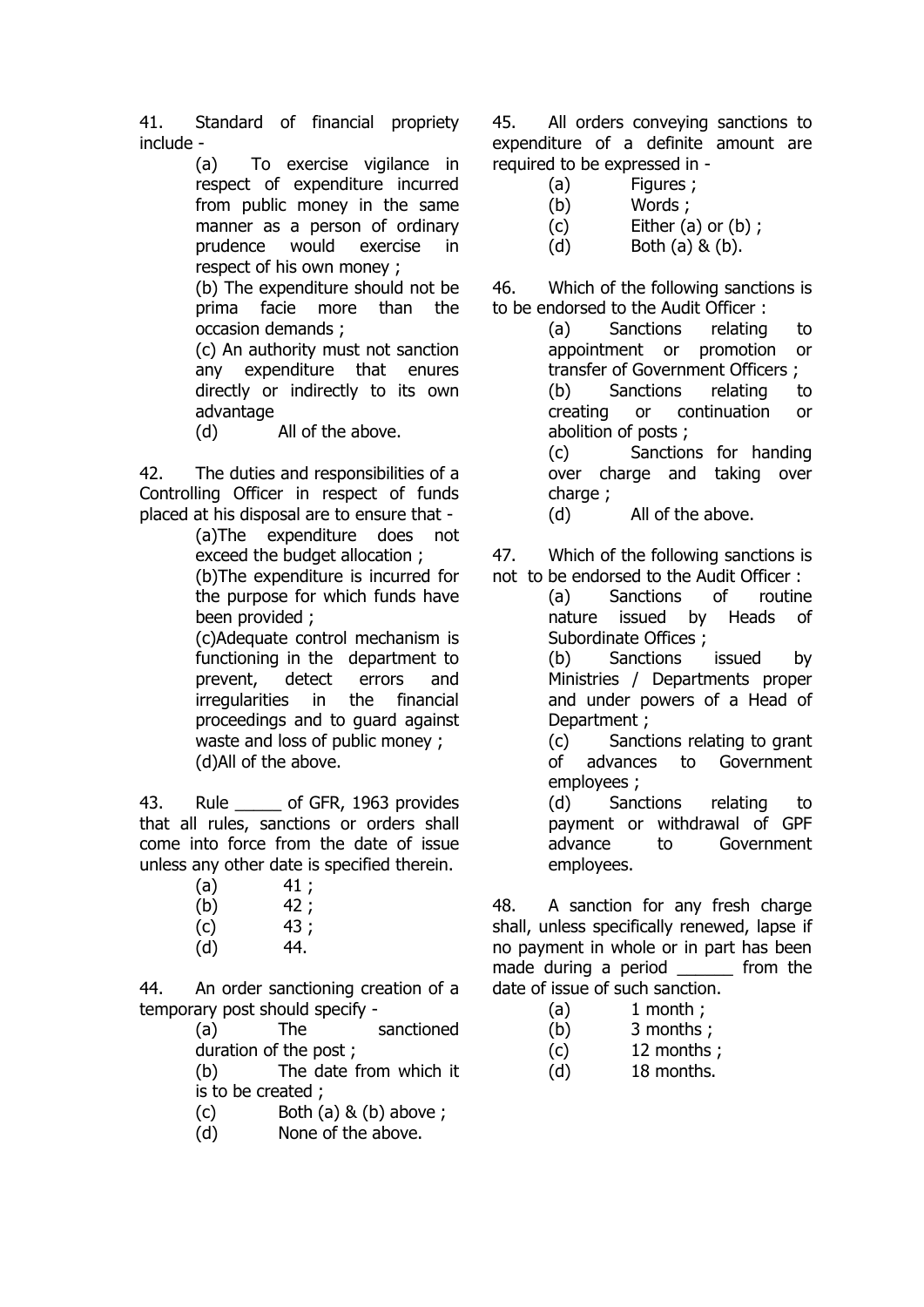41. Standard of financial propriety include -

> (a) To exercise vigilance in respect of expenditure incurred from public money in the same manner as a person of ordinary prudence would exercise in respect of his own money ;

> (b) The expenditure should not be prima facie more than the occasion demands ;

> (c) An authority must not sanction any expenditure that enures directly or indirectly to its own advantage

(d) All of the above.

42. The duties and responsibilities of a Controlling Officer in respect of funds placed at his disposal are to ensure that -

(a)The expenditure does not exceed the budget allocation ; (b)The expenditure is incurred for the purpose for which funds have been provided ;

(c)Adequate control mechanism is functioning in the department to prevent, detect errors and irregularities in the financial proceedings and to guard against waste and loss of public money ; (d)All of the above.

43. Rule \_\_\_\_\_\_ of GFR, 1963 provides that all rules, sanctions or orders shall come into force from the date of issue unless any other date is specified therein.

- $(a)$  41;
- $(b)$  42;
- $(c)$  43 ;
- (d) 44.

44. An order sanctioning creation of a temporary post should specify -

(a) The sanctioned duration of the post ;

(b) The date from which it is to be created ;

 $(c)$  Both  $(a)$  &  $(b)$  above ;

(d) None of the above.

45. All orders conveying sanctions to expenditure of a definite amount are required to be expressed in -

- (a) Figures ;
- (b) Words ;
- $(c)$  Either  $(a)$  or  $(b)$  ;
- (d) Both (a) & (b).

46. Which of the following sanctions is to be endorsed to the Audit Officer :

(a) Sanctions relating to appointment or promotion or transfer of Government Officers ; (b) Sanctions relating to creating or continuation or abolition of posts ; (c) Sanctions for handing over charge and taking over

charge ;

(d) All of the above.

47. Which of the following sanctions is not to be endorsed to the Audit Officer :

(a) Sanctions of routine nature issued by Heads of Subordinate Offices ;

(b) Sanctions issued by Ministries / Departments proper and under powers of a Head of Department ;

(c) Sanctions relating to grant of advances to Government employees ;

(d) Sanctions relating to payment or withdrawal of GPF advance to Government employees.

48. A sanction for any fresh charge shall, unless specifically renewed, lapse if no payment in whole or in part has been made during a period from the date of issue of such sanction.

- $(a)$  1 month :
- (b) 3 months ;
- (c) 12 months ;
- (d) 18 months.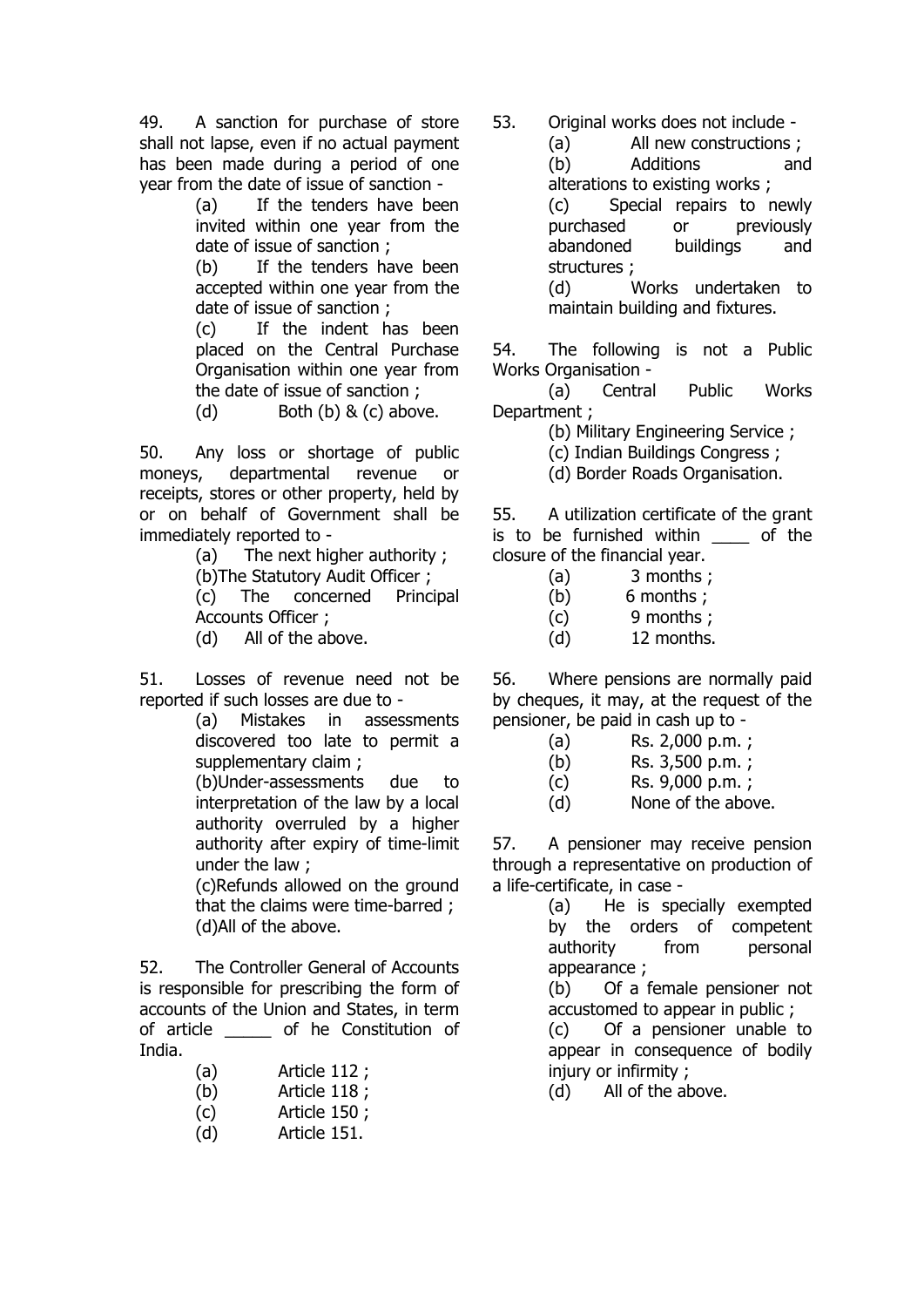49. A sanction for purchase of store shall not lapse, even if no actual payment has been made during a period of one year from the date of issue of sanction -

> (a) If the tenders have been invited within one year from the date of issue of sanction ;

> (b) If the tenders have been accepted within one year from the date of issue of sanction ;

> (c) If the indent has been placed on the Central Purchase Organisation within one year from the date of issue of sanction ;

(d)  $Both (b) & (c) above.$ 

50. Any loss or shortage of public moneys, departmental revenue or receipts, stores or other property, held by or on behalf of Government shall be immediately reported to -

(a) The next higher authority ;

(b)The Statutory Audit Officer ;

(c) The concerned Principal Accounts Officer ;

(d) All of the above.

51. Losses of revenue need not be reported if such losses are due to -

> (a) Mistakes in assessments discovered too late to permit a supplementary claim ;

> (b)Under-assessments due to interpretation of the law by a local authority overruled by a higher authority after expiry of time-limit under the law ;

(c)Refunds allowed on the ground that the claims were time-barred ; (d)All of the above.

52. The Controller General of Accounts is responsible for prescribing the form of accounts of the Union and States, in term of article \_\_\_\_\_ of he Constitution of India.

- (a) Article 112 ;
- (b) Article 118 ;
- (c) Article 150 ;
- (d) Article 151.

53. Original works does not include -

(a) All new constructions ; (b) Additions and alterations to existing works ; (c) Special repairs to newly purchased or previously abandoned buildings and structures ; (d) Works undertaken to maintain building and fixtures.

54. The following is not a Public Works Organisation -

(a) Central Public Works Department ;

(b) Military Engineering Service ;

- (c) Indian Buildings Congress ;
- (d) Border Roads Organisation.

55. A utilization certificate of the grant is to be furnished within of the closure of the financial year.

- (a) 3 months ;
- (b) 6 months ;
- (c) 9 months ;
- (d) 12 months.

56. Where pensions are normally paid by cheques, it may, at the request of the pensioner, be paid in cash up to -

- (a) Rs. 2,000 p.m. ;
- (b) Rs. 3,500 p.m. ;
- (c) Rs. 9,000 p.m. ;
- (d) None of the above.

57. A pensioner may receive pension through a representative on production of a life-certificate, in case -

> (a) He is specially exempted by the orders of competent authority from personal appearance ;

(b) Of a female pensioner not accustomed to appear in public ;

(c) Of a pensioner unable to appear in consequence of bodily injury or infirmity ;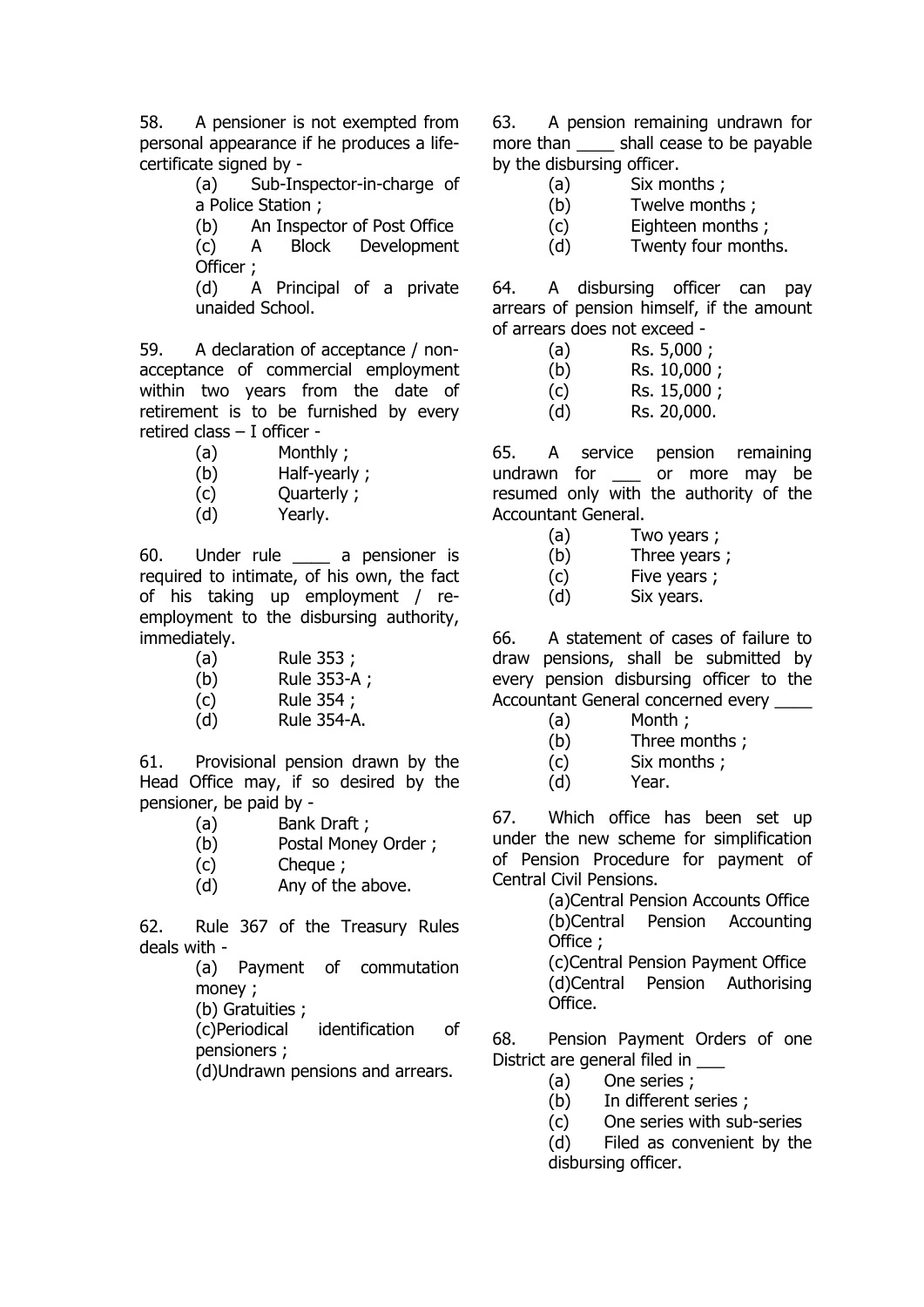58. A pensioner is not exempted from personal appearance if he produces a lifecertificate signed by -

(a) Sub-Inspector-in-charge of a Police Station ;

(b) An Inspector of Post Office (c) A Block Development Officer ;

(d) A Principal of a private unaided School.

59. A declaration of acceptance / nonacceptance of commercial employment within two years from the date of retirement is to be furnished by every retired class – I officer -

- (a) Monthly ;
- (b) Half-yearly ;
- (c) Quarterly ;
- (d) Yearly.

60. Under rule a pensioner is required to intimate, of his own, the fact of his taking up employment / reemployment to the disbursing authority, immediately.

- (a) Rule 353 ;
- (b) Rule 353-A ;
- (c) Rule 354 ;
- (d) Rule 354-A.

61. Provisional pension drawn by the Head Office may, if so desired by the pensioner, be paid by -

- (a) Bank Draft ;
- (b) Postal Money Order ;
- (c) Cheque ;
- (d) Any of the above.

62. Rule 367 of the Treasury Rules deals with -

(a) Payment of commutation money ;

(b) Gratuities ;

(c)Periodical identification of pensioners ;

(d)Undrawn pensions and arrears.

63. A pension remaining undrawn for more than shall cease to be payable by the disbursing officer.

- (a) Six months ;
- (b) Twelve months ;
- (c) Eighteen months ;
- (d) Twenty four months.

64. A disbursing officer can pay arrears of pension himself, if the amount of arrears does not exceed -

- (a) Rs. 5,000 ;
- (b) Rs. 10,000 ;
- (c) Rs. 15,000 ;
- (d) Rs. 20,000.

65. A service pension remaining undrawn for or more may be resumed only with the authority of the Accountant General.

- (a) Two years ;
- (b) Three years ;
- (c) Five years ;
- (d) Six years.

66. A statement of cases of failure to draw pensions, shall be submitted by every pension disbursing officer to the Accountant General concerned every \_\_\_\_

- (a) Month ;
- (b) Three months ;
- (c) Six months ;
- (d) Year.

67. Which office has been set up under the new scheme for simplification of Pension Procedure for payment of Central Civil Pensions.

(a)Central Pension Accounts Office (b)Central Pension Accounting Office ;

(c)Central Pension Payment Office (d)Central Pension Authorising Office.

68. Pension Payment Orders of one District are general filed in

- (a) One series ;
- (b) In different series ;
- (c) One series with sub-series
- (d) Filed as convenient by the disbursing officer.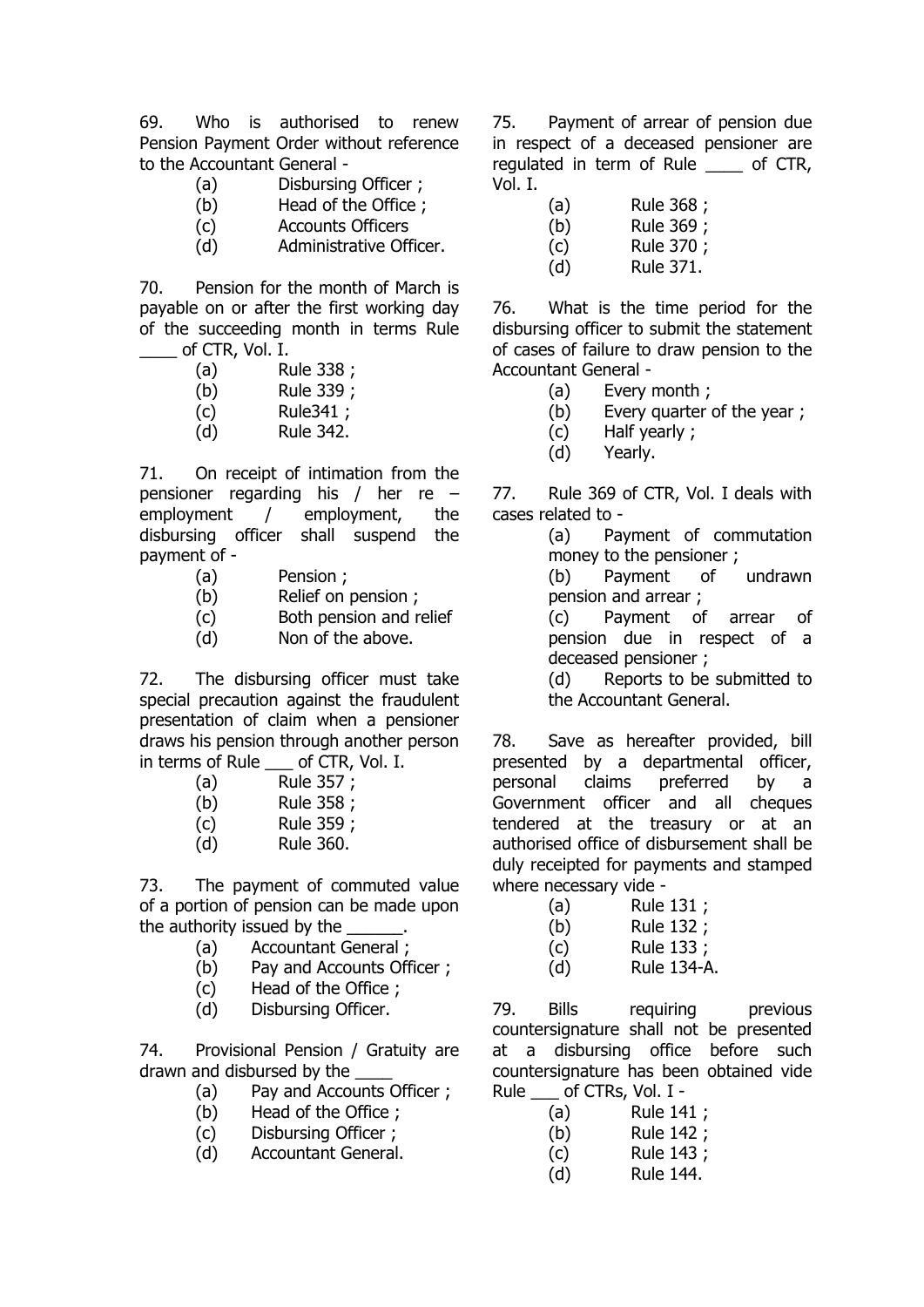69. Who is authorised to renew Pension Payment Order without reference to the Accountant General -

- (a) Disbursing Officer ;
- (b) Head of the Office ;
- (c) Accounts Officers
- (d) Administrative Officer.

70. Pension for the month of March is payable on or after the first working day of the succeeding month in terms Rule of CTR, Vol. I.

- (a) Rule 338 ;
- (b) Rule 339 ;
- (c) Rule341 ;
- (d) Rule 342.

71. On receipt of intimation from the pensioner regarding his / her re – employment / employment, the disbursing officer shall suspend the payment of -

- (a) Pension ;
- (b) Relief on pension ;
- (c) Both pension and relief
- (d) Non of the above.

72. The disbursing officer must take special precaution against the fraudulent presentation of claim when a pensioner draws his pension through another person in terms of Rule \_\_\_ of CTR, Vol. I.

| (a)  | Rule 357 ; |
|------|------------|
| (b)  | Rule 358 ; |
| (c)  | Rule 359 ; |
| 74 N | האפ הווים  |

(d) Rule 360.

73. The payment of commuted value of a portion of pension can be made upon the authority issued by the

- (a) Accountant General ;
- (b) Pay and Accounts Officer ;
- (c) Head of the Office ;
- (d) Disbursing Officer.

74. Provisional Pension / Gratuity are drawn and disbursed by the

- (a) Pay and Accounts Officer ;
- (b) Head of the Office ;
- (c) Disbursing Officer ;
- (d) Accountant General.

75. Payment of arrear of pension due in respect of a deceased pensioner are regulated in term of Rule of CTR, Vol. I.

(a) Rule 368 ;

(b) Rule 369 ;

(c) Rule 370 ;

(d) Rule 371.

76. What is the time period for the disbursing officer to submit the statement of cases of failure to draw pension to the Accountant General -

- (a) Every month ;
- (b) Every quarter of the year ;
- (c) Half yearly ;
- (d) Yearly.

77. Rule 369 of CTR, Vol. I deals with cases related to -

> (a) Payment of commutation money to the pensioner ;

> (b) Payment of undrawn pension and arrear ;

> (c) Payment of arrear of pension due in respect of a deceased pensioner ;

> (d) Reports to be submitted to the Accountant General.

78. Save as hereafter provided, bill presented by a departmental officer, personal claims preferred by a Government officer and all cheques tendered at the treasury or at an authorised office of disbursement shall be duly receipted for payments and stamped where necessary vide -

- (a) Rule 131 ;
- (b) Rule 132 ;
- (c) Rule 133 ;
- (d) Rule 134-A.

79. Bills requiring previous countersignature shall not be presented at a disbursing office before such countersignature has been obtained vide Rule \_\_\_ of CTRs, Vol. I -

| (a)        | Rule 141 ; |
|------------|------------|
| $\sqrt{2}$ | .          |

- (b) Rule 142 ; (c) Rule 143 ;
- (d) Rule 144.
	-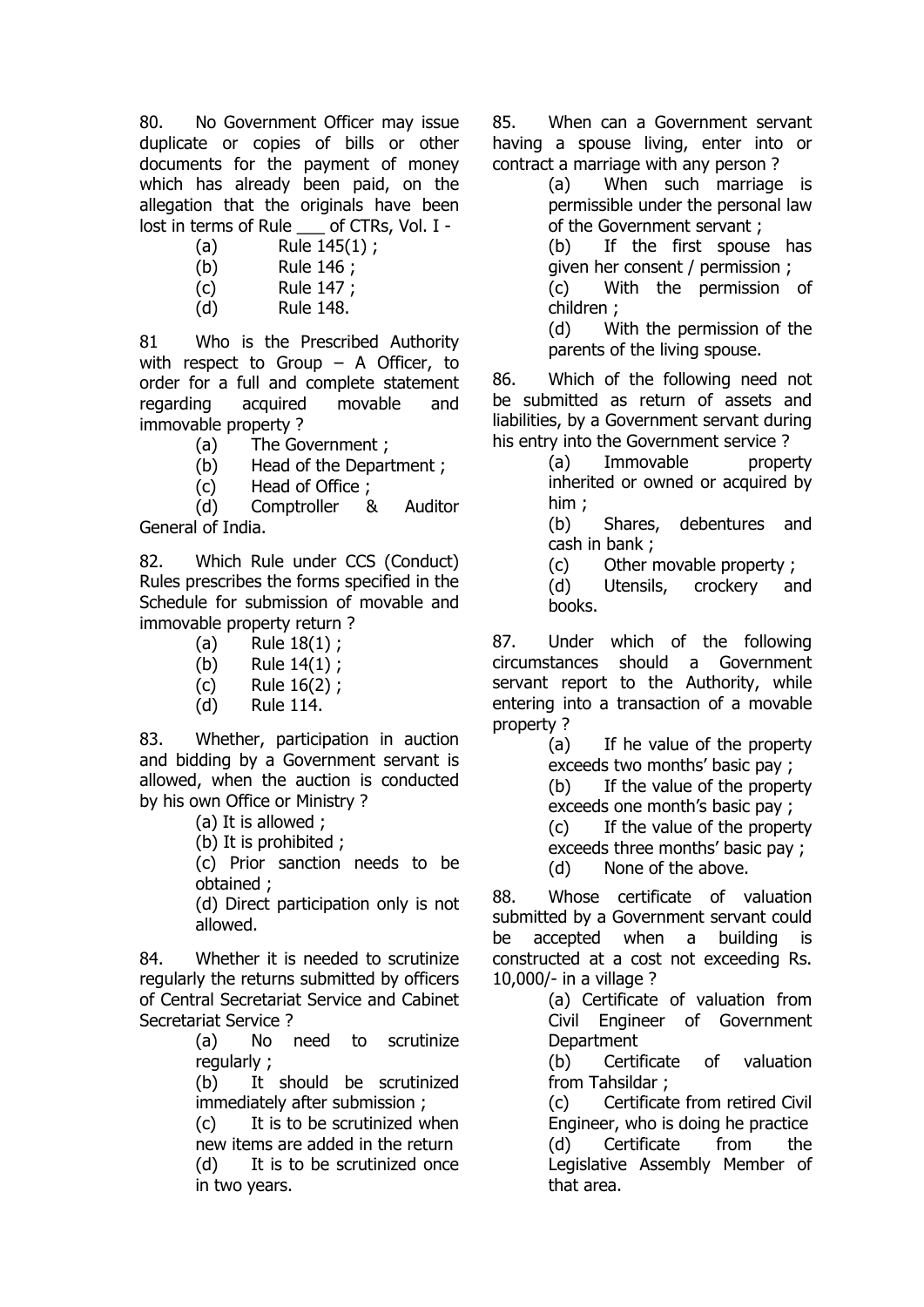80. No Government Officer may issue duplicate or copies of bills or other documents for the payment of money which has already been paid, on the allegation that the originals have been lost in terms of Rule of CTRs, Vol. I -

- (a) Rule 145(1) ;
- (b) Rule 146 ;
- (c) Rule 147 ;
- (d) Rule 148.

81 Who is the Prescribed Authority with respect to Group – A Officer, to order for a full and complete statement regarding acquired movable and immovable property ?

- (a) The Government ;
- (b) Head of the Department ;
- (c) Head of Office ;

(d) Comptroller & Auditor General of India.

82. Which Rule under CCS (Conduct) Rules prescribes the forms specified in the Schedule for submission of movable and immovable property return ?

- (a) Rule 18(1) ;
- (b) Rule 14(1) ;
- (c) Rule 16(2) ;
- (d) Rule 114.

83. Whether, participation in auction and bidding by a Government servant is allowed, when the auction is conducted by his own Office or Ministry ?

(a) It is allowed ;

(b) It is prohibited ;

(c) Prior sanction needs to be obtained ;

(d) Direct participation only is not allowed.

84. Whether it is needed to scrutinize regularly the returns submitted by officers of Central Secretariat Service and Cabinet Secretariat Service ?

(a) No need to scrutinize regularly ;

(b) It should be scrutinized immediately after submission ;

(c) It is to be scrutinized when new items are added in the return

(d) It is to be scrutinized once in two years.

85. When can a Government servant having a spouse living, enter into or contract a marriage with any person ?

(a) When such marriage is permissible under the personal law of the Government servant ;

(b) If the first spouse has given her consent / permission ; (c) With the permission of

children ;

(d) With the permission of the parents of the living spouse.

86. Which of the following need not be submitted as return of assets and liabilities, by a Government servant during his entry into the Government service ?

(a) Immovable property inherited or owned or acquired by him ;

(b) Shares, debentures and cash in bank ;

(c) Other movable property ;

(d) Utensils, crockery and books.

87. Under which of the following circumstances should a Government servant report to the Authority, while entering into a transaction of a movable property ?

(a) If he value of the property exceeds two months' basic pay ; (b) If the value of the property

exceeds one month's basic pay ;

(c) If the value of the property exceeds three months' basic pay ;

(d) None of the above.

88. Whose certificate of valuation submitted by a Government servant could be accepted when a building is constructed at a cost not exceeding Rs. 10,000/- in a village ?

> (a) Certificate of valuation from Civil Engineer of Government **Department**

> (b) Certificate of valuation from Tahsildar ;

> (c) Certificate from retired Civil Engineer, who is doing he practice (d) Certificate from the Legislative Assembly Member of that area.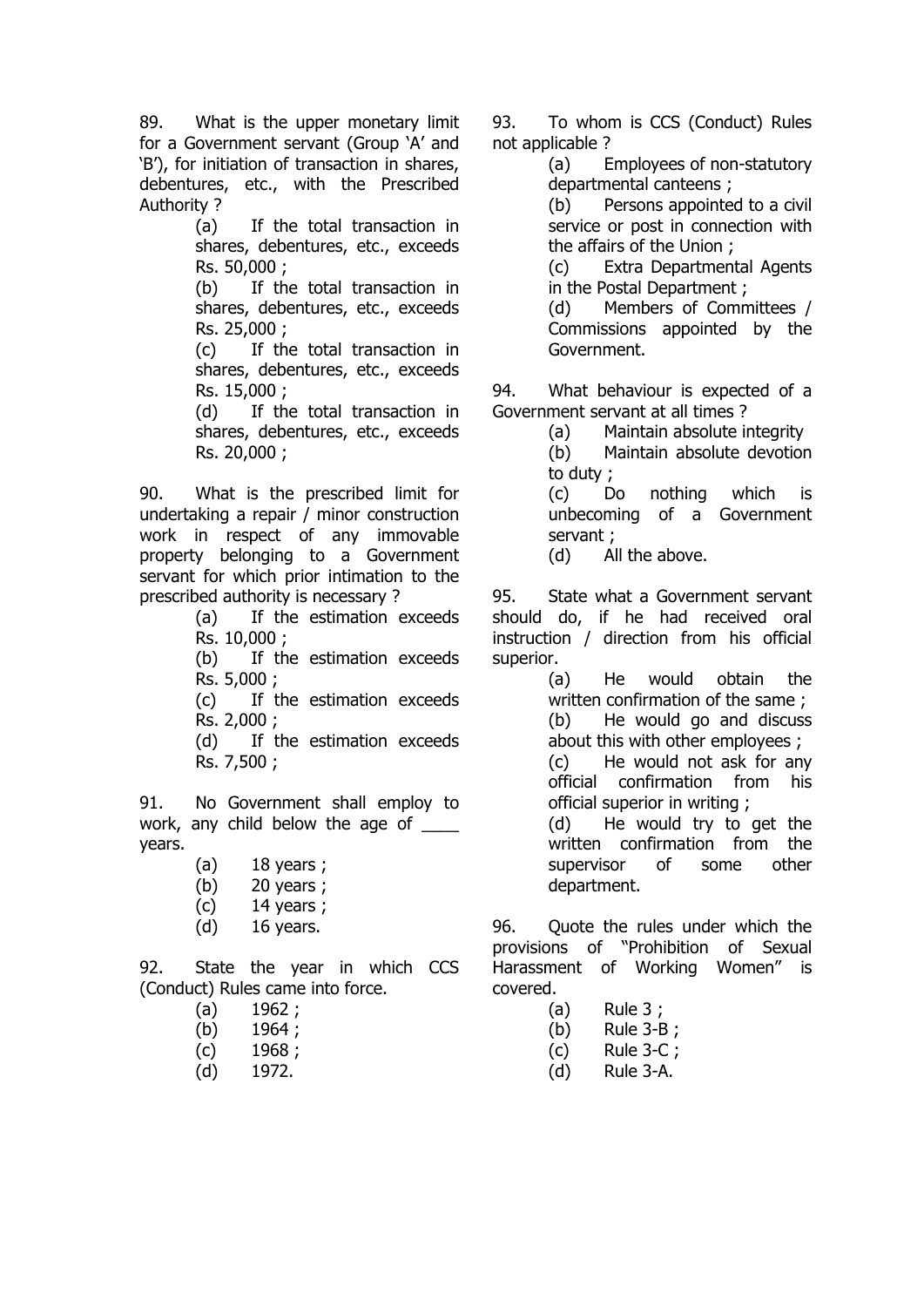89. What is the upper monetary limit for a Government servant (Group 'A' and 'B'), for initiation of transaction in shares, debentures, etc., with the Prescribed Authority ?

> (a) If the total transaction in shares, debentures, etc., exceeds Rs. 50,000 ;

> (b) If the total transaction in shares, debentures, etc., exceeds Rs. 25,000 ;

> (c) If the total transaction in shares, debentures, etc., exceeds Rs. 15,000 ;

> (d) If the total transaction in shares, debentures, etc., exceeds Rs. 20,000 ;

90. What is the prescribed limit for undertaking a repair / minor construction work in respect of any immovable property belonging to a Government servant for which prior intimation to the prescribed authority is necessary ?

(a) If the estimation exceeds Rs. 10,000 ;

(b) If the estimation exceeds Rs. 5,000 ;

(c) If the estimation exceeds Rs. 2,000 ;

(d) If the estimation exceeds Rs. 7,500 ;

91. No Government shall employ to work, any child below the age of years.

- (a) 18 years ;
- (b) 20 years ;
- (c) 14 years ;
- (d) 16 years.

92. State the year in which CCS (Conduct) Rules came into force.

- (a) 1962 ;
- (b) 1964;
- (c) 1968 ;
- (d) 1972.

93. To whom is CCS (Conduct) Rules not applicable ?

> (a) Employees of non-statutory departmental canteens ;

(b) Persons appointed to a civil service or post in connection with the affairs of the Union ;

(c) Extra Departmental Agents in the Postal Department ;

(d) Members of Committees / Commissions appointed by the Government.

94. What behaviour is expected of a Government servant at all times ?

(a) Maintain absolute integrity

(b) Maintain absolute devotion to duty ;

(c) Do nothing which is unbecoming of a Government servant ;

(d) All the above.

95. State what a Government servant should do, if he had received oral instruction / direction from his official superior.

(a) He would obtain the written confirmation of the same ; (b) He would go and discuss about this with other employees ;

(c) He would not ask for any official confirmation from his official superior in writing ;

(d) He would try to get the written confirmation from the supervisor of some other department.

96. Ouote the rules under which the provisions of "Prohibition of Sexual Harassment of Working Women" is covered.

- (a) Rule 3 ;
- (b) Rule 3-B ;
- (c) Rule 3-C ;
- (d) Rule 3-A.